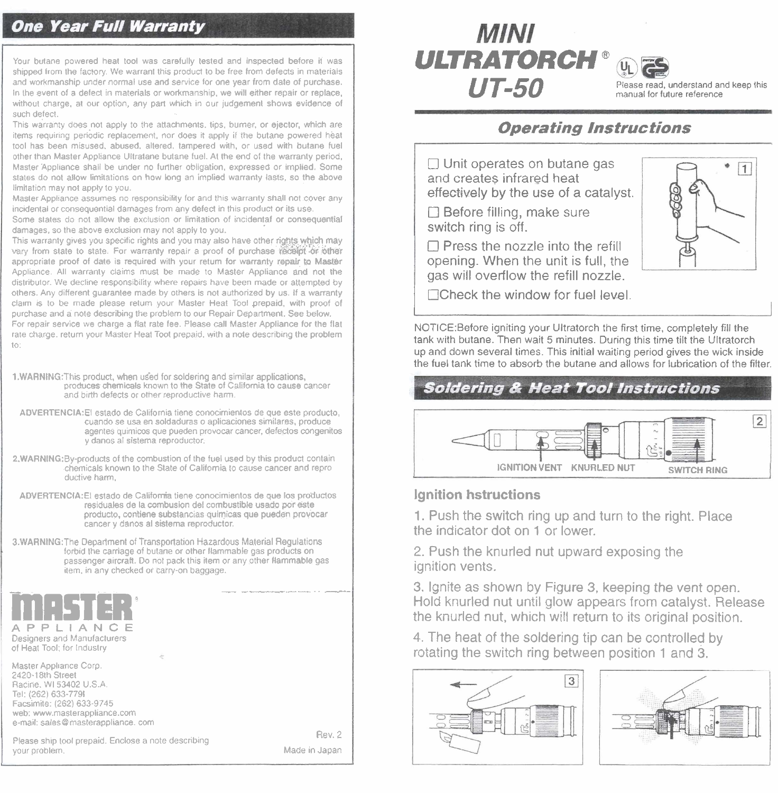# **One Year Full Warranty**

Your butane powered heat tool was carefully lested and inspected before it was shipped from the factory. We warrant this product to be free from defects in materials and workmanship under normal use and service for one year from date of purchase. In the event of a defect in materials or workmanship, we will either repair or replace. without charge, at our option, any part which in our judgement shows evidence of such defect.

This warranty does not apply to the attachments, tips, burner, or ejector, which are items requiring periodic replacement, nor does it apply if the butane powered heat tool has been misused, abused, altered, tampered with, or used with butane fuel other than Master Appliance Ultratane butane fuel. At the end of the warranty period, Master Appliance shall be under no further obligation, expressed or implied. Some states do not allow limitations on how long an implied warranty lasts, so the above limitation may not apply to you.

Master Appliance assumes no responsibility for and this warranty shall not cover any incidental or consequential damages from any defect in this product or its use.

Some states do not allow the exclusion or limitation of incidentaf or consequential damages, so the above exclusion may not apply to you.

This warranty gives you specific rights and you may also have other rights which may vary from slate to state. For warranty repair a proof of purchase receibit or other appropriate proof of date is required with your return for warranty repair to Master Appliance. All warranty claims must be made to Master Appliance and not the distributor. We decline responsibility where repairs have been made or attempted by others. Any different quarantee made by others is not authorized by us. If a warranty claim is to be made please retum your Master Heat Tool prepaid, with proof of purchase and a note describing the problem to our Repair Department. See below. For repair service we charge a flat rate fee. Please call Master Appliance for the flat rate charge, return your Master Heat Toot prepaid, with a note describing the problem to

1.WARNING: This product, when used for soldering and similar applications, produces chemicals known to the State of California to cause cancer and birth defects or other reproductive harm.

ADVERTENCIA: El estado de California tiene conocimientos de que este producto, cuando se usa en soldaduras o aplicaciones similares, produce agentes químicos que pueden provocar cancer, defectos congenitos y danos al sistema reproductor

2.WARNING:By-products of the combustion of the fuel used by this product contain chemicals known to the State of California to cause cancer and reproductive harm,

ADVERTENCIA: El estado de California tiene conocimientos de que los productos residuales de la combusion del combustible usado por este producto, contiene substancias quimicas que pueden provocar cancer y danos al sistema reproductor

3.WARNING: The Department of Transportation Hazardous Material Regulations forbid the carriage of butane or other flammable gas products on passenger aircraft. Do not pack this item or any other flammable gas<br>passenger aircraft. Do not pack this item or any other flammable gas<br>tiem, in any checked or carry-on baggage. item, in any checked or carry-on baggage.



Tel: (262) 633-7791 Facsimite: (262) 633-9745 web: www.masterappliance.com e-mail: sales@masterappliance. com

Rev. 2 Rev. 2 Please ship tool prepaid. Enclose a note describing<br>your problem. Made in Japan

Made in Japan

# **MINI ULTRATORCH** " **UT-50** Please read, understand and keep this

manual for future reference

### **Operating Instructions**

Unit operates on butane gas and creates infrared heat effectively by the use of a catalyst.

□ Before filling, make sure switch ring is off.

 $\Box$  Press the nozzle into the refill opening. When the unit is full, the gas will overflow the refill nozzle.



N0TICE:Before igniting your Ultratorch the first time, completely fill the tank with butane. Then wait 5 minutes. During this time tilt the Ultratorch up and down several times. This initial waiting period gives the wick inside the fuel tank time to absorb the butane and allows for lubrication of the filter.

### **Soldering & Heat Tool Instructions**



#### **Ignition hstructions**

I

1. Push the switch ring up and turn to the right. Place the indicator dot on 1 or lower.

2. Push the knurled nut upward exposing the ignition vents.

3. Ignite as shown by Figure 3, keeping the vent open. Hold knurled nut until glow appears from catalyst. Release the knurled nut, which will return to its original position.

4. The heat of the soldering tip can be controlled by rotating the switch ring between position 1 and 3.